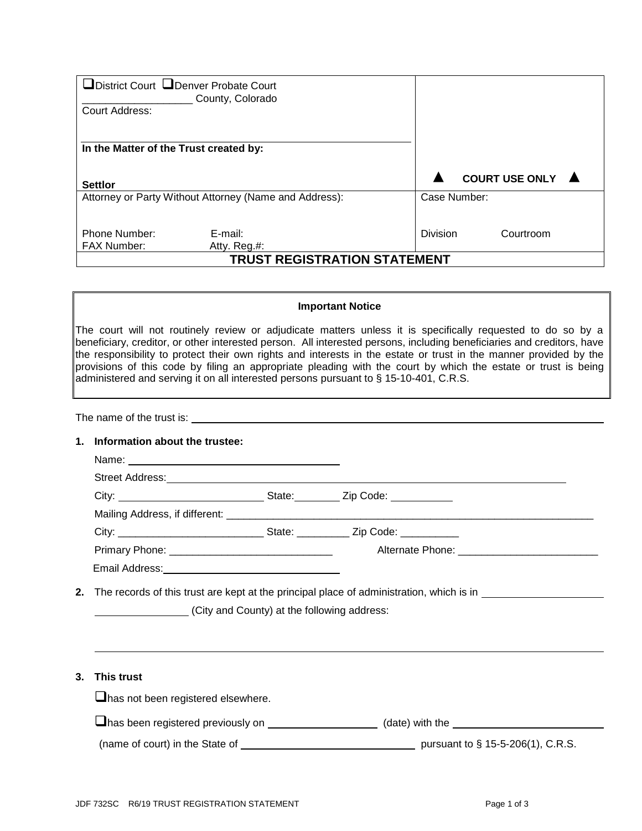| □District Court □Denver Probate Court                  | County, Colorado        |          |              |                       |  |  |
|--------------------------------------------------------|-------------------------|----------|--------------|-----------------------|--|--|
| Court Address:                                         |                         |          |              |                       |  |  |
|                                                        |                         |          |              |                       |  |  |
| In the Matter of the Trust created by:                 |                         |          |              |                       |  |  |
| <b>Settlor</b>                                         |                         |          |              | <b>COURT USE ONLY</b> |  |  |
| Attorney or Party Without Attorney (Name and Address): |                         |          | Case Number: |                       |  |  |
| Phone Number:<br><b>FAX Number:</b>                    | E-mail:<br>Atty. Reg.#: | Division |              | Courtroom             |  |  |
| <b>TRUST REGISTRATION STATEMENT</b>                    |                         |          |              |                       |  |  |

## **Important Notice**

The court will not routinely review or adjudicate matters unless it is specifically requested to do so by a beneficiary, creditor, or other interested person. All interested persons, including beneficiaries and creditors, have the responsibility to protect their own rights and interests in the estate or trust in the manner provided by the provisions of this code by filing an appropriate pleading with the court by which the estate or trust is being administered and serving it on all interested persons pursuant to § 15-10-401, C.R.S.

The name of the trust is:

## **1. Information about the trustee:**

| Street Address: No. 2020 Street Address: No. 2020 Street Address: No. 2020 Street Address: No. 2020 |                                                                                                                |
|-----------------------------------------------------------------------------------------------------|----------------------------------------------------------------------------------------------------------------|
|                                                                                                     |                                                                                                                |
|                                                                                                     |                                                                                                                |
|                                                                                                     |                                                                                                                |
|                                                                                                     |                                                                                                                |
|                                                                                                     |                                                                                                                |
|                                                                                                     | 2. The records of this trust are kept at the principal place of administration, which is in __________________ |
| (City and County) at the following address:                                                         |                                                                                                                |
|                                                                                                     |                                                                                                                |

| 3. | This trust                               |                                   |  |
|----|------------------------------------------|-----------------------------------|--|
|    | has not been registered elsewhere.       |                                   |  |
|    | $\Box$ has been registered previously on | (date) with the                   |  |
|    | (name of court) in the State of          | pursuant to § 15-5-206(1), C.R.S. |  |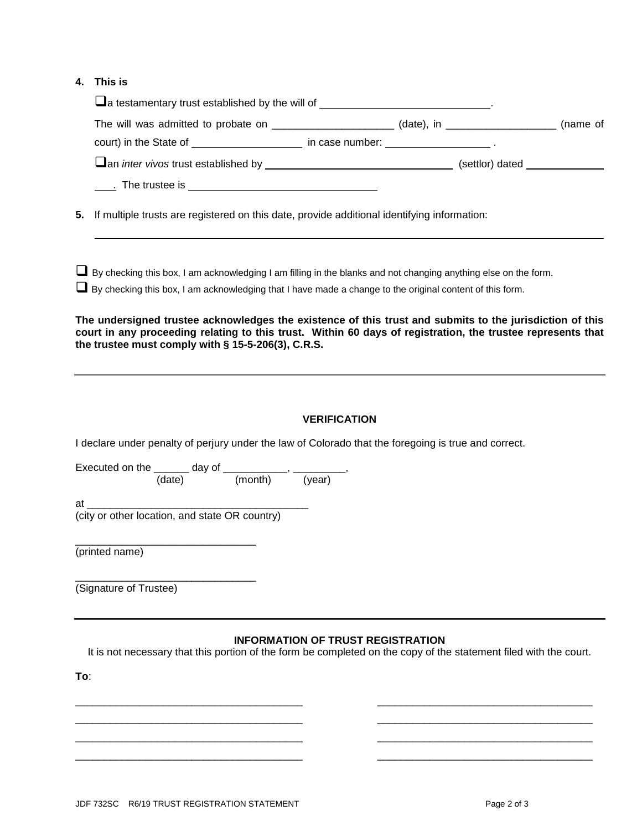## **4. This is**

|                                                                                                                                                                                                                                                                                                                                                                                                                                                                                                              |                     | a testamentary trust established by the will of _______________________________.                                                                              |  |
|--------------------------------------------------------------------------------------------------------------------------------------------------------------------------------------------------------------------------------------------------------------------------------------------------------------------------------------------------------------------------------------------------------------------------------------------------------------------------------------------------------------|---------------------|---------------------------------------------------------------------------------------------------------------------------------------------------------------|--|
|                                                                                                                                                                                                                                                                                                                                                                                                                                                                                                              |                     | The will was admitted to probate on ______________________(date), in ____________________(name of                                                             |  |
|                                                                                                                                                                                                                                                                                                                                                                                                                                                                                                              |                     | court) in the State of ______________________ in case number: _______________________.                                                                        |  |
|                                                                                                                                                                                                                                                                                                                                                                                                                                                                                                              |                     |                                                                                                                                                               |  |
|                                                                                                                                                                                                                                                                                                                                                                                                                                                                                                              |                     |                                                                                                                                                               |  |
| 5.                                                                                                                                                                                                                                                                                                                                                                                                                                                                                                           |                     | If multiple trusts are registered on this date, provide additional identifying information:                                                                   |  |
| By checking this box, I am acknowledging I am filling in the blanks and not changing anything else on the form.<br>By checking this box, I am acknowledging that I have made a change to the original content of this form.<br>The undersigned trustee acknowledges the existence of this trust and submits to the jurisdiction of this<br>court in any proceeding relating to this trust. Within 60 days of registration, the trustee represents that<br>the trustee must comply with § 15-5-206(3), C.R.S. |                     |                                                                                                                                                               |  |
| I declare under penalty of perjury under the law of Colorado that the foregoing is true and correct.                                                                                                                                                                                                                                                                                                                                                                                                         | <b>VERIFICATION</b> |                                                                                                                                                               |  |
| Executed on the $\frac{1}{(date)}$ day of $\frac{1}{(month)}$ , $\frac{1}{(year)}$                                                                                                                                                                                                                                                                                                                                                                                                                           |                     |                                                                                                                                                               |  |
|                                                                                                                                                                                                                                                                                                                                                                                                                                                                                                              |                     |                                                                                                                                                               |  |
| (printed name)                                                                                                                                                                                                                                                                                                                                                                                                                                                                                               |                     |                                                                                                                                                               |  |
| (Signature of Trustee)                                                                                                                                                                                                                                                                                                                                                                                                                                                                                       |                     |                                                                                                                                                               |  |
| To:                                                                                                                                                                                                                                                                                                                                                                                                                                                                                                          |                     | <b>INFORMATION OF TRUST REGISTRATION</b><br>It is not necessary that this portion of the form be completed on the copy of the statement filed with the court. |  |

\_\_\_\_\_\_\_\_\_\_\_\_\_\_\_\_\_\_\_\_\_\_\_\_\_\_\_\_\_\_\_\_\_\_\_\_\_\_\_ \_\_\_\_\_\_\_\_\_\_\_\_\_\_\_\_\_\_\_\_\_\_\_\_\_\_\_\_\_\_\_\_\_\_\_\_\_ \_\_\_\_\_\_\_\_\_\_\_\_\_\_\_\_\_\_\_\_\_\_\_\_\_\_\_\_\_\_\_\_\_\_\_\_\_\_\_ \_\_\_\_\_\_\_\_\_\_\_\_\_\_\_\_\_\_\_\_\_\_\_\_\_\_\_\_\_\_\_\_\_\_\_\_\_ \_\_\_\_\_\_\_\_\_\_\_\_\_\_\_\_\_\_\_\_\_\_\_\_\_\_\_\_\_\_\_\_\_\_\_\_\_\_\_ \_\_\_\_\_\_\_\_\_\_\_\_\_\_\_\_\_\_\_\_\_\_\_\_\_\_\_\_\_\_\_\_\_\_\_\_\_ \_\_\_\_\_\_\_\_\_\_\_\_\_\_\_\_\_\_\_\_\_\_\_\_\_\_\_\_\_\_\_\_\_\_\_\_\_\_\_ \_\_\_\_\_\_\_\_\_\_\_\_\_\_\_\_\_\_\_\_\_\_\_\_\_\_\_\_\_\_\_\_\_\_\_\_\_